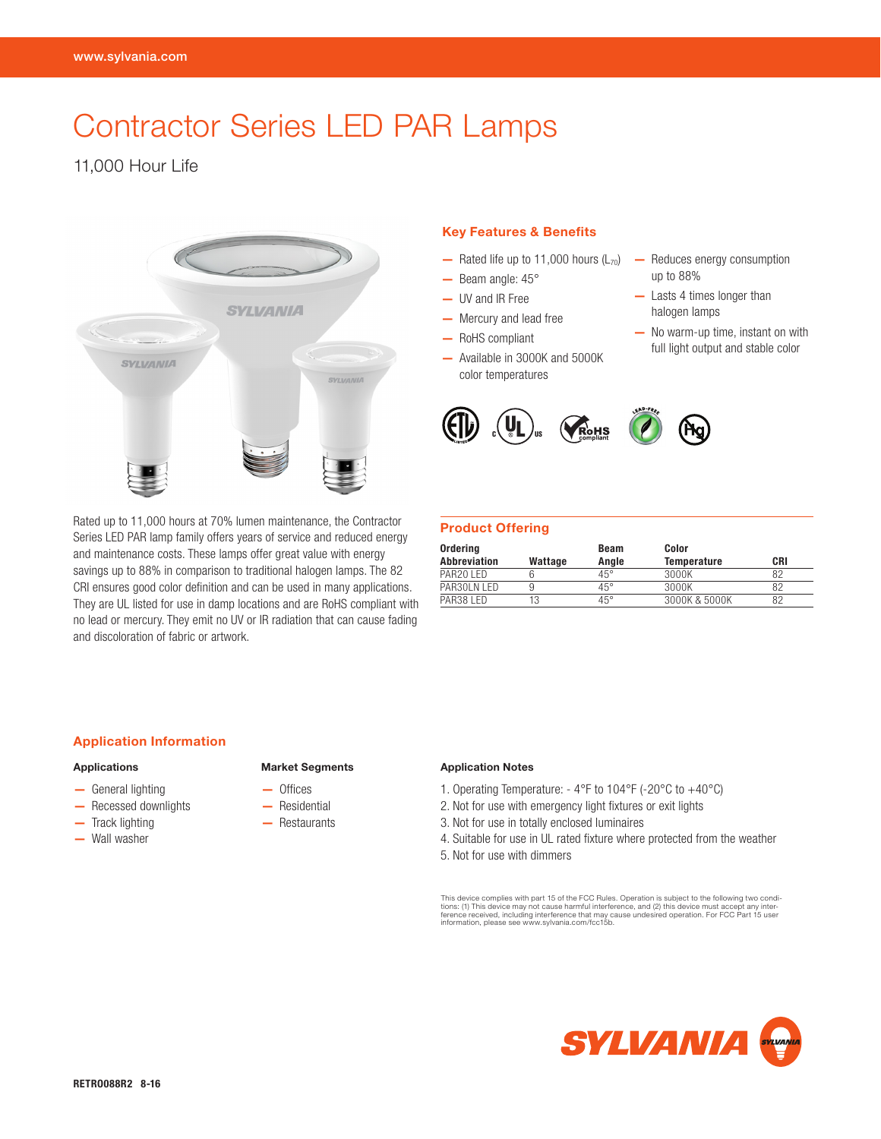# Contractor Series LED PAR Lamps

11,000 Hour Life



Rated up to 11,000 hours at 70% lumen maintenance, the Contractor Series LED PAR lamp family offers years of service and reduced energy and maintenance costs. These lamps offer great value with energy savings up to 88% in comparison to traditional halogen lamps. The 82 CRI ensures good color definition and can be used in many applications. They are UL listed for use in damp locations and are RoHS compliant with no lead or mercury. They emit no UV or IR radiation that can cause fading and discoloration of fabric or artwork.

# Key Features & Benefits

- $-$  Rated life up to 11,000 hours ( $L_{70}$ )
- Beam angle: 45°
- UV and IR Free
- Mercury and lead free
- RoHS compliant
- Available in 3000K and 5000K color temperatures
- Reduces energy consumption up to 88% — Lasts 4 times longer than
- halogen lamps
- No warm-up time, instant on with full light output and stable color



# Product Offering

| Ordering              |         | Beam         | Color              |     |
|-----------------------|---------|--------------|--------------------|-----|
| <b>Abbreviation</b>   | Wattage | Anale        | <b>Temperature</b> | CRI |
| PAR <sub>20</sub> LED |         | $45^{\circ}$ | 3000K              | 82  |
| PAR30LN LED           | 9       | $45^{\circ}$ | 3000K              | 82  |
| PAR38 LED             |         | $45^{\circ}$ | 3000K & 5000K      | 82  |

#### Application Information

## Applications

- General lighting
- Recessed downlights
- Track lighting
- Wall washer

#### Market Segments

- Offices
- Residential
- Restaurants
- 

#### Application Notes

- 1. Operating Temperature: 4°F to 104°F (-20°C to +40°C)
- 2. Not for use with emergency light fixtures or exit lights
- 3. Not for use in totally enclosed luminaires
- 4. Suitable for use in UL rated fixture where protected from the weather 5. Not for use with dimmers

This device complies with part 15 of the FCC Rules. Operation is subject to the following two conditions: (1) This device may not cause harmful interference, and (2) this device must accept any inter-<br>ference received, including interference that may cause undesired operation. For FCC Part 15 user<br>information, please se